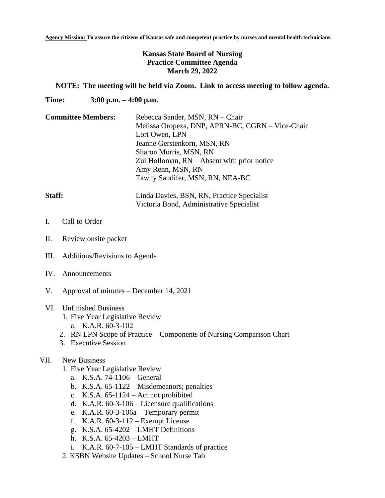**Agency Mission: To assure the citizens of Kansas safe and competent practice by nurses and mental health technicians.**

# **Kansas State Board of Nursing Practice Committee Agenda March 29, 2022**

## **NOTE: The meeting will be held via Zoom. Link to access meeting to follow agenda.**

Victoria Bond, Administrative Specialist

**Time: 3:00 p.m. – 4:00 p.m.**

| <b>Committee Members:</b> | Rebecca Sander, MSN, RN - Chair<br>Melissa Oropeza, DNP, APRN-BC, CGRN - Vice-Chair<br>Lori Owen, LPN<br>Jeanne Gerstenkorn, MSN, RN<br>Sharon Morris, MSN, RN<br>Zui Holloman, $RN - Absent$ with prior notice |
|---------------------------|-----------------------------------------------------------------------------------------------------------------------------------------------------------------------------------------------------------------|
|                           | Amy Renn, MSN, RN<br>Tawny Sandifer, MSN, RN, NEA-BC                                                                                                                                                            |
| Staff:                    | Linda Davies, BSN, RN, Practice Specialist                                                                                                                                                                      |

- I. Call to Order
- II. Review onsite packet
- III. Additions/Revisions to Agenda
- IV. Announcements
- V. Approval of minutes December 14, 2021

# VI. Unfinished Business

- 1. Five Year Legislative Review
	- a. K.A.R. 60-3-102
- 2. RN LPN Scope of Practice Components of Nursing Comparison Chart
- 3. Executive Session

# VII. New Business

- 1. Five Year Legislative Review
	- a. K.S.A. 74-1106 General
	- b. K.S.A. 65-1122 Misdemeanors; penalties
	- c. K.S.A. 65-1124 Act not prohibited
	- d. K.A.R. 60-3-106 Licensure qualifications
	- e. K.A.R. 60-3-106a Temporary permit
	- f. K.A.R. 60-3-112 Exempt License
	- g. K.S.A. 65-4202 LMHT Definitions
	- h. K.S.A. 65-4203 LMHT
	- i. K.A.R. 60-7-105 LMHT Standards of practice
- 2. KSBN Website Updates School Nurse Tab